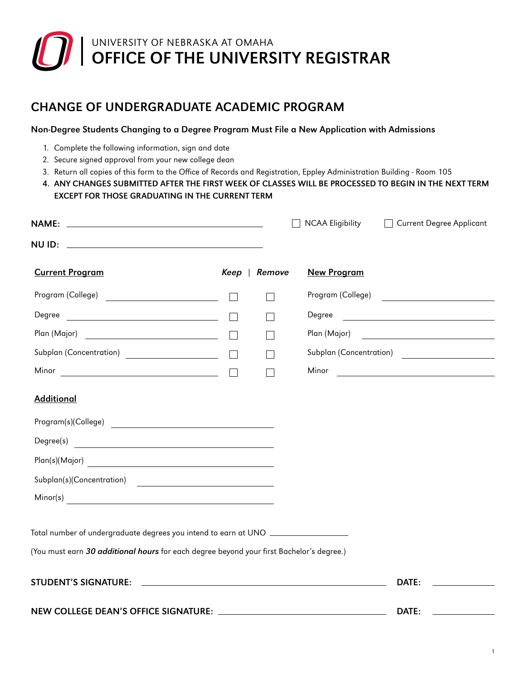# OFFICE OF THE UNIVERSITY REGISTRAR UNIVERSITY OF NEBRASKA AT OMAHA

# CHANGE OF UNDERGRADUATE ACADEMIC PROGRAM

## Non-Degree Students Changing to a Degree Program Must File a New Application with Admissions

- 1. Complete the following information, sign and date
- 2. Secure signed approval from your new college dean
- 3. Return all copies of this form to the Office of Records and Registration, Eppley Administration Building Room 105
- 4. ANY CHANGES SUBMITTED AFTER THE FIRST WEEK OF CLASSES WILL BE PROCESSED TO BEGIN IN THE NEXT TERM EXCEPT FOR THOSE GRADUATING IN THE CURRENT TERM

|                                                                                                                                                                              |         |        | <b>NCAA Eligibility</b><br>  Current Degree Applicant                                                                         |  |
|------------------------------------------------------------------------------------------------------------------------------------------------------------------------------|---------|--------|-------------------------------------------------------------------------------------------------------------------------------|--|
|                                                                                                                                                                              |         |        |                                                                                                                               |  |
| <b>Current Program</b>                                                                                                                                                       | Keep    | Remove | <b>New Program</b>                                                                                                            |  |
| Program (College)                                                                                                                                                            |         |        | Program (College)                                                                                                             |  |
| Degree<br><u> 2000 - John Stone, mars and de la population de la population de la population de la population de la popula</u>                                               |         |        |                                                                                                                               |  |
|                                                                                                                                                                              |         |        |                                                                                                                               |  |
|                                                                                                                                                                              |         |        | Subplan (Concentration)                                                                                                       |  |
|                                                                                                                                                                              | $\perp$ |        | Minor<br><u> Alexandria de la contrada de la contrada de la contrada de la contrada de la contrada de la contrada de la c</u> |  |
| <b>Additional</b>                                                                                                                                                            |         |        |                                                                                                                               |  |
| Program(s)(College)                                                                                                                                                          |         |        |                                                                                                                               |  |
| Degree(s)<br><u> Alexandria de la contrada de la contrada de la contrada de la contrada de la contrada de la contrada de la c</u>                                            |         |        |                                                                                                                               |  |
|                                                                                                                                                                              |         |        |                                                                                                                               |  |
| Subplan(s)(Concentration)                                                                                                                                                    |         |        |                                                                                                                               |  |
|                                                                                                                                                                              |         |        |                                                                                                                               |  |
| Total number of undergraduate degrees you intend to earn at UNO ________________<br>(You must earn 30 additional hours for each degree beyond your first Bachelor's degree.) |         |        |                                                                                                                               |  |
|                                                                                                                                                                              |         |        | DATE:                                                                                                                         |  |
|                                                                                                                                                                              |         |        | DATE:                                                                                                                         |  |